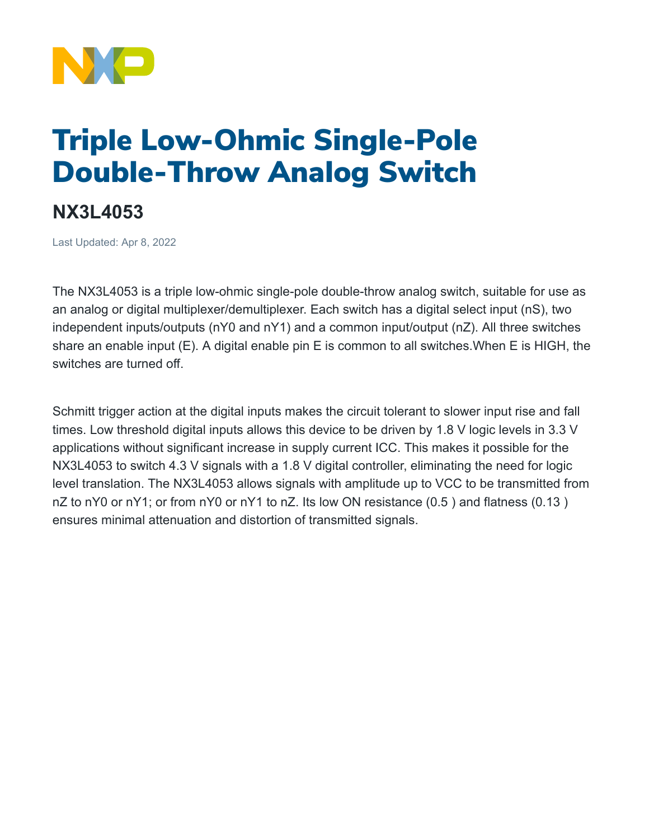

## Triple Low-Ohmic Single-Pole Double-Throw Analog Switch

## **NX3L4053**

Last Updated: Apr 8, 2022

The NX3L4053 is a triple low-ohmic single-pole double-throw analog switch, suitable for use as an analog or digital multiplexer/demultiplexer. Each switch has a digital select input (nS), two independent inputs/outputs (nY0 and nY1) and a common input/output (nZ). All three switches share an enable input (E). A digital enable pin E is common to all switches.When E is HIGH, the switches are turned off.

Schmitt trigger action at the digital inputs makes the circuit tolerant to slower input rise and fall times. Low threshold digital inputs allows this device to be driven by 1.8 V logic levels in 3.3 V applications without significant increase in supply current ICC. This makes it possible for the NX3L4053 to switch 4.3 V signals with a 1.8 V digital controller, eliminating the need for logic level translation. The NX3L4053 allows signals with amplitude up to VCC to be transmitted from nZ to nY0 or nY1; or from nY0 or nY1 to nZ. Its low ON resistance (0.5) and flatness (0.13) ensures minimal attenuation and distortion of transmitted signals.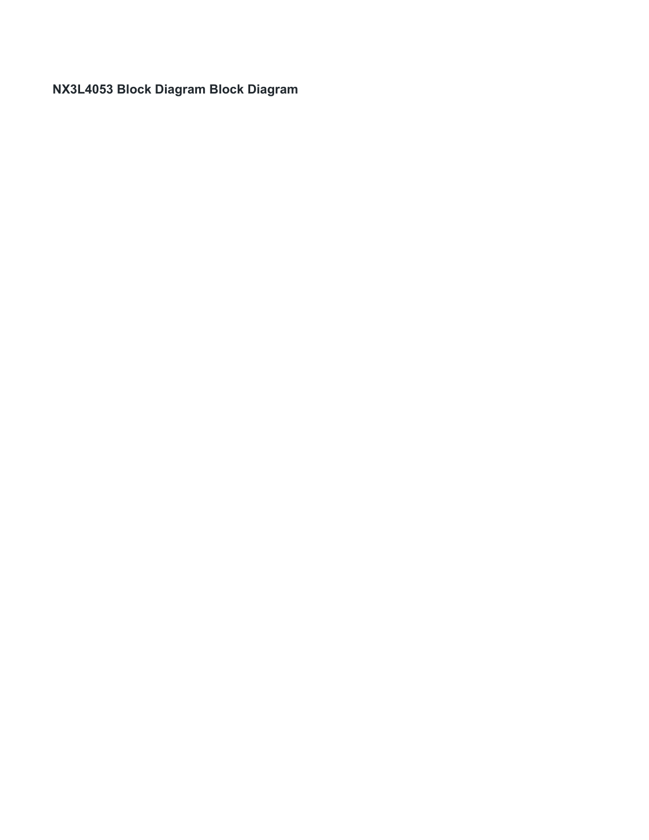**NX3L4053 Block Diagram Block Diagram**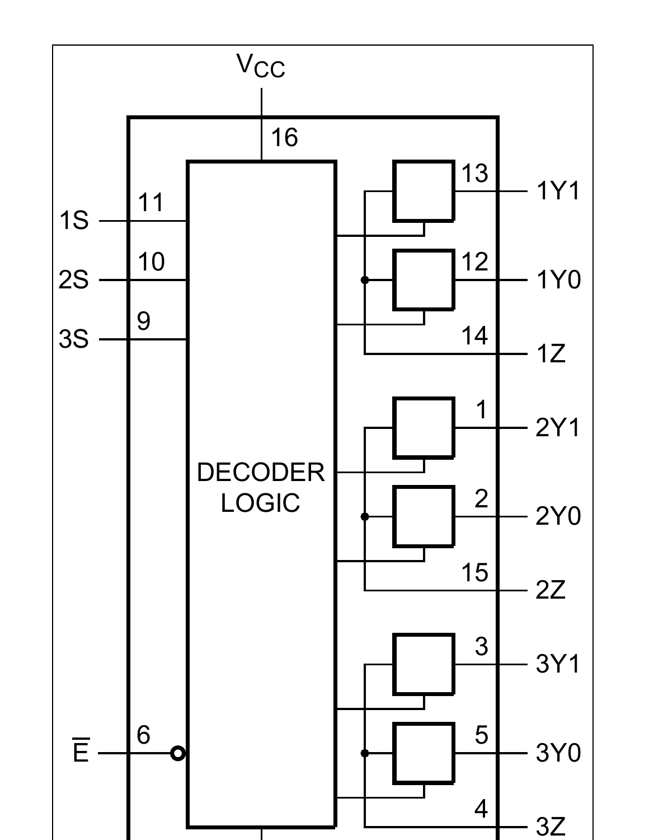